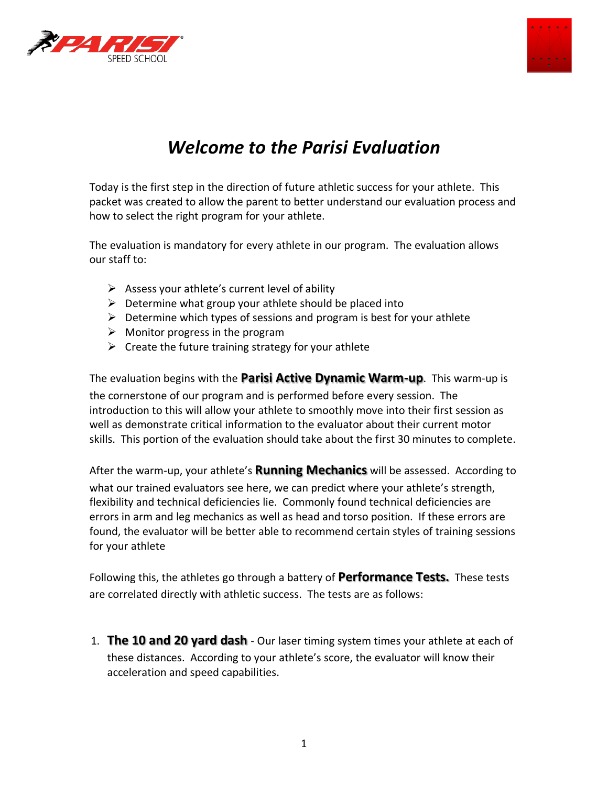



# *Welcome to the Parisi Evaluation*

Today is the first step in the direction of future athletic success for your athlete. This packet was created to allow the parent to better understand our evaluation process and how to select the right program for your athlete.

The evaluation is mandatory for every athlete in our program. The evaluation allows our staff to:

- $\triangleright$  Assess your athlete's current level of ability
- $\triangleright$  Determine what group your athlete should be placed into
- $\triangleright$  Determine which types of sessions and program is best for your athlete
- $\triangleright$  Monitor progress in the program
- $\triangleright$  Create the future training strategy for your athlete

The evaluation begins with the **Parisi Active Dynamic Warm-up**. This warm-up is the cornerstone of our program and is performed before every session. The introduction to this will allow your athlete to smoothly move into their first session as well as demonstrate critical information to the evaluator about their current motor skills. This portion of the evaluation should take about the first 30 minutes to complete.

After the warm-up, your athlete's **Running Mechanics** will be assessed. According to what our trained evaluators see here, we can predict where your athlete's strength, flexibility and technical deficiencies lie. Commonly found technical deficiencies are errors in arm and leg mechanics as well as head and torso position. If these errors are found, the evaluator will be better able to recommend certain styles of training sessions for your athlete

Following this, the athletes go through a battery of **Performance Tests.** These tests are correlated directly with athletic success. The tests are as follows:

1. **The 10 and 20 yard dash** - Our laser timing system times your athlete at each of these distances. According to your athlete's score, the evaluator will know their acceleration and speed capabilities.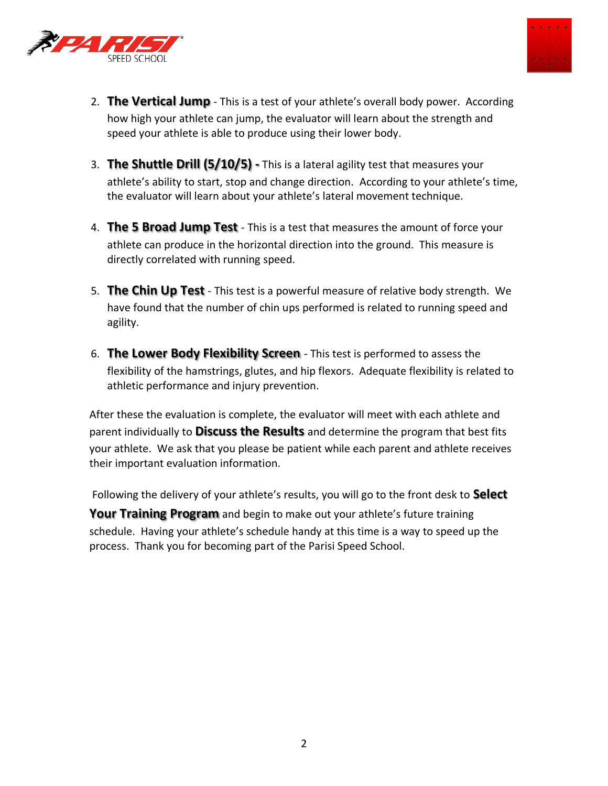



- 2. **The Vertical Jump**  This is a test of your athlete's overall body power. According how high your athlete can jump, the evaluator will learn about the strength and speed your athlete is able to produce using their lower body.
- 3. **The Shuttle Drill (5/10/5) -** This is a lateral agility test that measures your athlete's ability to start, stop and change direction. According to your athlete's time, the evaluator will learn about your athlete's lateral movement technique.
- 4. **The 5 Broad Jump Test**  This is a test that measures the amount of force your athlete can produce in the horizontal direction into the ground. This measure is directly correlated with running speed.
- 5. **The Chin Up Test**  This test is a powerful measure of relative body strength. We have found that the number of chin ups performed is related to running speed and agility.
- 6. **The Lower Body Flexibility Screen**  This test is performed to assess the flexibility of the hamstrings, glutes, and hip flexors. Adequate flexibility is related to athletic performance and injury prevention.

After these the evaluation is complete, the evaluator will meet with each athlete and parent individually to **Discuss the Results** and determine the program that best fits your athlete. We ask that you please be patient while each parent and athlete receives their important evaluation information.

Following the delivery of your athlete's results, you will go to the front desk to **Select** 

**Your Training Program** and begin to make out your athlete's future training schedule. Having your athlete's schedule handy at this time is a way to speed up the process. Thank you for becoming part of the Parisi Speed School.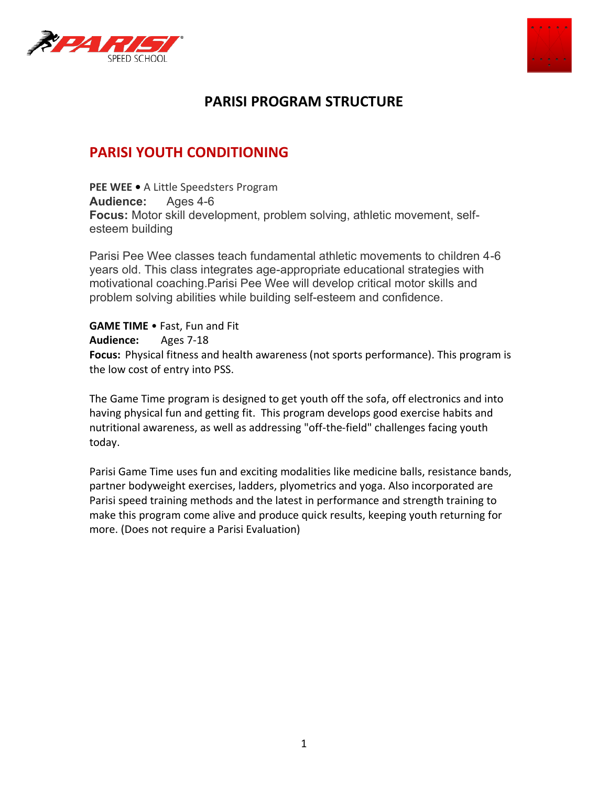



# **PARISI PROGRAM STRUCTURE**

# **PARISI YOUTH CONDITIONING**

**PEE WEE •** A Little Speedsters Program **Audience:** Ages 4-6 **Focus:** Motor skill development, problem solving, athletic movement, selfesteem building

Parisi Pee Wee classes teach fundamental athletic movements to children 4-6 years old. This class integrates age-appropriate educational strategies with motivational coaching.Parisi Pee Wee will develop critical motor skills and problem solving abilities while building self-esteem and confidence.

**GAME TIME • Fast, Fun and Fit Audience:** Ages 7-18 **Focus:** Physical fitness and health awareness (not sports performance). This program is the low cost of entry into PSS.

The Game Time program is designed to get youth off the sofa, off electronics and into having physical fun and getting fit. This program develops good exercise habits and nutritional awareness, as well as addressing "off-the-field" challenges facing youth today.

Parisi Game Time uses fun and exciting modalities like medicine balls, resistance bands, partner bodyweight exercises, ladders, plyometrics and yoga. Also incorporated are Parisi speed training methods and the latest in performance and strength training to make this program come alive and produce quick results, keeping youth returning for more. (Does not require a Parisi Evaluation)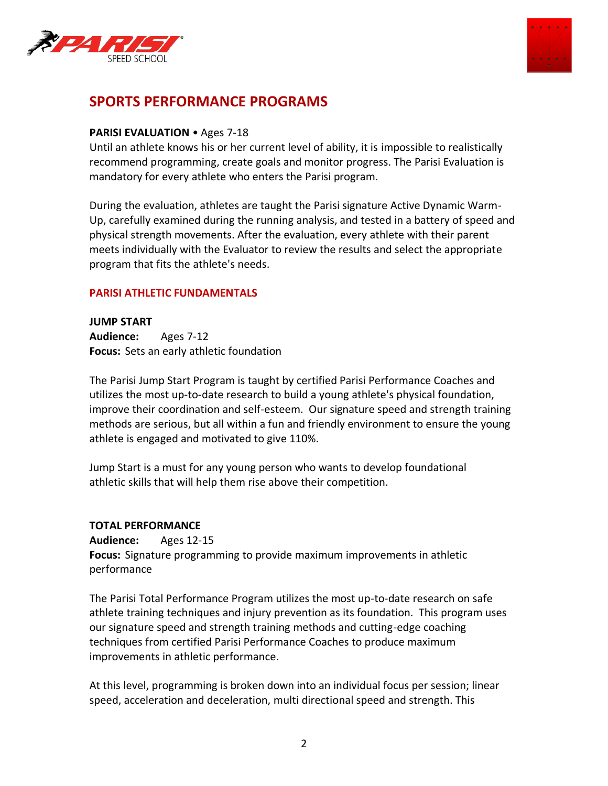



# **SPORTS PERFORMANCE PROGRAMS**

# **PARISI EVALUATION • Ages 7-18**

Until an athlete knows his or her current level of ability, it is impossible to realistically recommend programming, create goals and monitor progress. The Parisi Evaluation is mandatory for every athlete who enters the Parisi program.

During the evaluation, athletes are taught the Parisi signature Active Dynamic Warm-Up, carefully examined during the running analysis, and tested in a battery of speed and physical strength movements. After the evaluation, every athlete with their parent meets individually with the Evaluator to review the results and select the appropriate program that fits the athlete's needs.

#### **PARISI ATHLETIC FUNDAMENTALS**

**JUMP START Audience:** Ages 7-12 **Focus:** Sets an early athletic foundation

The Parisi Jump Start Program is taught by certified Parisi Performance Coaches and utilizes the most up-to-date research to build a young athlete's physical foundation, improve their coordination and self-esteem. Our signature speed and strength training methods are serious, but all within a fun and friendly environment to ensure the young athlete is engaged and motivated to give 110%.

Jump Start is a must for any young person who wants to develop foundational athletic skills that will help them rise above their competition.

#### **TOTAL PERFORMANCE**

**Audience:** Ages 12-15 **Focus:** Signature programming to provide maximum improvements in athletic performance

The Parisi Total Performance Program utilizes the most up-to-date research on safe athlete training techniques and injury prevention as its foundation. This program uses our signature speed and strength training methods and cutting-edge coaching techniques from certified Parisi Performance Coaches to produce maximum improvements in athletic performance.

At this level, programming is broken down into an individual focus per session; linear speed, acceleration and deceleration, multi directional speed and strength. This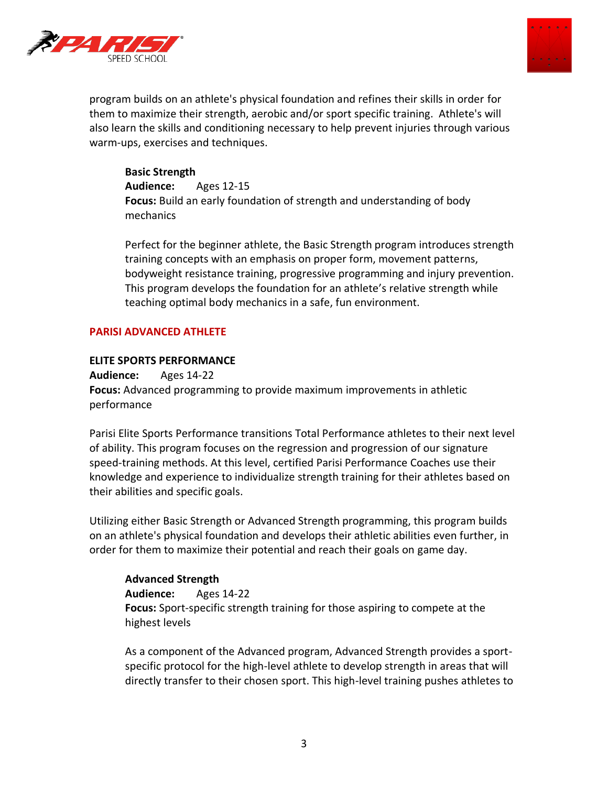



program builds on an athlete's physical foundation and refines their skills in order for them to maximize their strength, aerobic and/or sport specific training. Athlete's will also learn the skills and conditioning necessary to help prevent injuries through various warm-ups, exercises and techniques.

**Basic Strength Audience:** Ages 12-15 **Focus:** Build an early foundation of strength and understanding of body mechanics

Perfect for the beginner athlete, the Basic Strength program introduces strength training concepts with an emphasis on proper form, movement patterns, bodyweight resistance training, progressive programming and injury prevention. This program develops the foundation for an athlete's relative strength while teaching optimal body mechanics in a safe, fun environment.

#### **PARISI ADVANCED ATHLETE**

# **ELITE SPORTS PERFORMANCE**

**Audience:** Ages 14-22 **Focus:** Advanced programming to provide maximum improvements in athletic performance

Parisi Elite Sports Performance transitions Total Performance athletes to their next level of ability. This program focuses on the regression and progression of our signature speed-training methods. At this level, certified Parisi Performance Coaches use their knowledge and experience to individualize strength training for their athletes based on their abilities and specific goals.

Utilizing either Basic Strength or Advanced Strength programming, this program builds on an athlete's physical foundation and develops their athletic abilities even further, in order for them to maximize their potential and reach their goals on game day.

# **Advanced Strength**

**Audience:** Ages 14-22 **Focus:** Sport-specific strength training for those aspiring to compete at the highest levels

As a component of the Advanced program, Advanced Strength provides a sportspecific protocol for the high-level athlete to develop strength in areas that will directly transfer to their chosen sport. This high-level training pushes athletes to